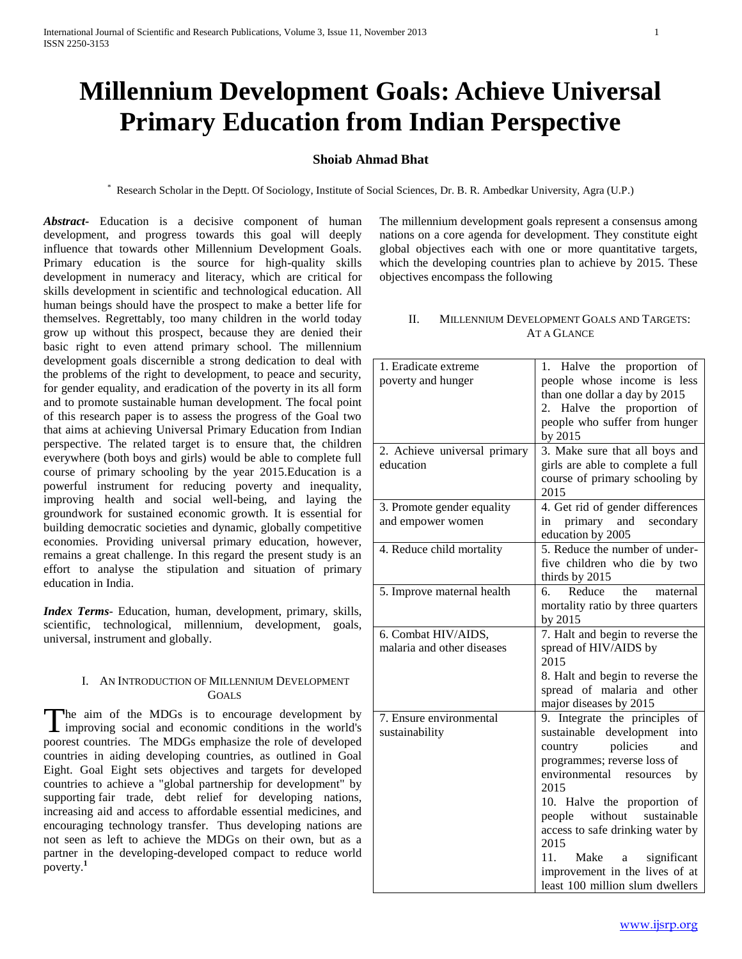# **Millennium Development Goals: Achieve Universal Primary Education from Indian Perspective**

# **Shoiab Ahmad Bhat**

\* Research Scholar in the Deptt. Of Sociology, Institute of Social Sciences, Dr. B. R. Ambedkar University, Agra (U.P.)

*Abstract***-** Education is a decisive component of human development, and progress towards this goal will deeply influence that towards other Millennium Development Goals. Primary education is the source for high-quality skills development in numeracy and literacy, which are critical for skills development in scientific and technological education. All human beings should have the prospect to make a better life for themselves. Regrettably, too many children in the world today grow up without this prospect, because they are denied their basic right to even attend primary school. The millennium development goals discernible a strong dedication to deal with the problems of the right to development, to peace and security, for gender equality, and eradication of the poverty in its all form and to promote sustainable human development. The focal point of this research paper is to assess the progress of the Goal two that aims at achieving Universal Primary Education from Indian perspective. The related target is to ensure that, the children everywhere (both boys and girls) would be able to complete full course of primary schooling by the year 2015.Education is a powerful instrument for reducing poverty and inequality, improving health and social well-being, and laying the groundwork for sustained economic growth. It is essential for building democratic societies and dynamic, globally competitive economies. Providing universal primary education, however, remains a great challenge. In this regard the present study is an effort to analyse the stipulation and situation of primary education in India.

*Index Terms*- Education, human, development, primary, skills, scientific, technological, millennium, development, goals, universal, instrument and globally.

### I. AN INTRODUCTION OF MILLENNIUM DEVELOPMENT GOALS

The aim of the MDGs is to encourage development by improving social and economic conditions in the world's I improving social and economic conditions in the world's poorest countries. The MDGs emphasize the role of developed countries in aiding developing countries, as outlined in Goal Eight. Goal Eight sets objectives and targets for developed countries to achieve a "global partnership for development" by supporting fair trade, debt relief for developing nations, increasing aid and access to affordable essential medicines, and encouraging technology transfer. Thus developing nations are not seen as left to achieve the MDGs on their own, but as a partner in the developing-developed compact to reduce world poverty.**<sup>1</sup>**

The millennium development goals represent a consensus among nations on a core agenda for development. They constitute eight global objectives each with one or more quantitative targets, which the developing countries plan to achieve by 2015. These objectives encompass the following

### II.MILLENNIUM DEVELOPMENT GOALS AND TARGETS: AT A GLANCE

| 1. Eradicate extreme         | 1. Halve the proportion<br>of          |
|------------------------------|----------------------------------------|
| poverty and hunger           | people whose income is less            |
|                              | than one dollar a day by 2015          |
|                              | 2. Halve the proportion of             |
|                              | people who suffer from hunger          |
|                              | by 2015                                |
| 2. Achieve universal primary | 3. Make sure that all boys and         |
| education                    | girls are able to complete a full      |
|                              | course of primary schooling by<br>2015 |
| 3. Promote gender equality   | 4. Get rid of gender differences       |
| and empower women            | in primary and<br>secondary            |
|                              | education by 2005                      |
| 4. Reduce child mortality    | 5. Reduce the number of under-         |
|                              | five children who die by two           |
|                              | thirds by 2015                         |
| 5. Improve maternal health   | Reduce<br>the<br>6.<br>maternal        |
|                              | mortality ratio by three quarters      |
|                              | by 2015                                |
| 6. Combat HIV/AIDS,          | 7. Halt and begin to reverse the       |
| malaria and other diseases   | spread of HIV/AIDS by                  |
|                              | 2015                                   |
|                              | 8. Halt and begin to reverse the       |
|                              | spread of malaria and other            |
|                              | major diseases by 2015                 |
| 7. Ensure environmental      | 9. Integrate the principles<br>of      |
| sustainability               | development<br>sustainable<br>into     |
|                              | policies<br>country<br>and             |
|                              | programmes; reverse loss of            |
|                              | environmental<br>resources<br>by       |
|                              | 2015                                   |
|                              | 10. Halve the proportion of            |
|                              | people without sustainable             |
|                              | access to safe drinking water by       |
|                              | 2015                                   |
|                              | 11.<br>Make<br>significant<br>a        |
|                              | improvement in the lives of at         |
|                              | least 100 million slum dwellers        |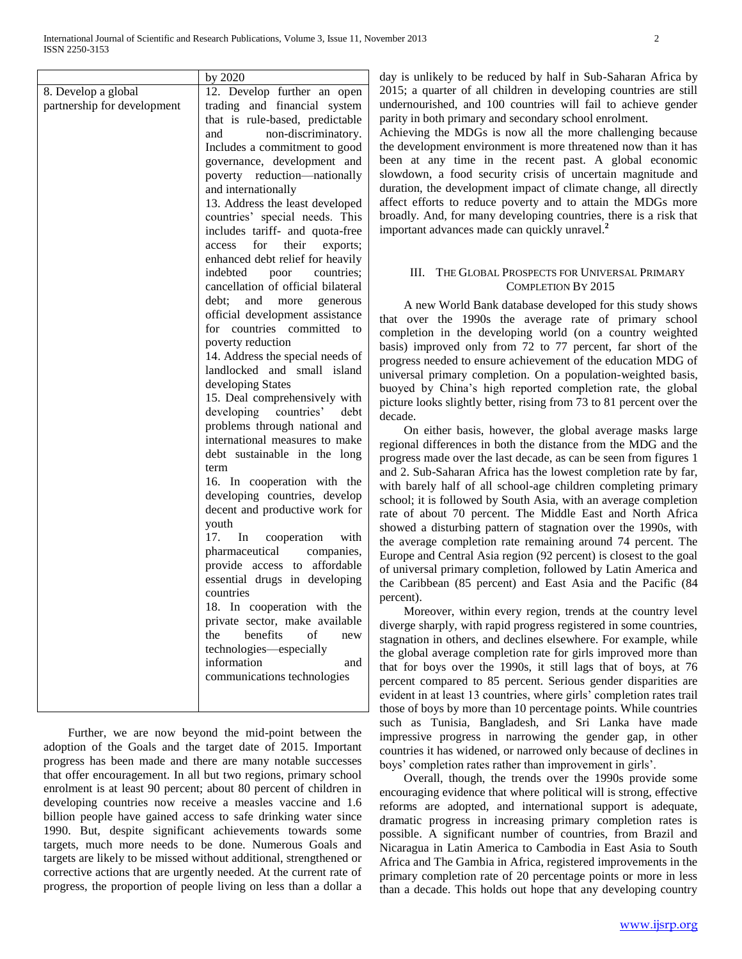|                             | by $2020$                                                            |
|-----------------------------|----------------------------------------------------------------------|
| 8. Develop a global         | 12. Develop further an open                                          |
| partnership for development | trading and financial system                                         |
|                             | that is rule-based, predictable                                      |
|                             | non-discriminatory.<br>and                                           |
|                             | Includes a commitment to good                                        |
|                             | governance, development and                                          |
|                             | poverty reduction-nationally                                         |
|                             | and internationally                                                  |
|                             | 13. Address the least developed                                      |
|                             | countries' special needs. This                                       |
|                             | includes tariff- and quota-free                                      |
|                             | for<br>their<br>exports;<br>access                                   |
|                             | enhanced debt relief for heavily                                     |
|                             | indebted<br>poor<br>countries;<br>cancellation of official bilateral |
|                             | debt:<br>and<br>more                                                 |
|                             | generous<br>official development assistance                          |
|                             | for countries committed<br>to                                        |
|                             | poverty reduction                                                    |
|                             | 14. Address the special needs of                                     |
|                             | landlocked and small island                                          |
|                             | developing States                                                    |
|                             | 15. Deal comprehensively with                                        |
|                             | developing countries'<br>debt                                        |
|                             | problems through national and                                        |
|                             | international measures to make                                       |
|                             | debt sustainable in the long                                         |
|                             | term                                                                 |
|                             | 16. In cooperation with the                                          |
|                             | developing countries, develop                                        |
|                             | decent and productive work for<br>youth                              |
|                             | 17. In cooperation with                                              |
|                             | pharmaceutical companies,                                            |
|                             | provide access to affordable                                         |
|                             | essential drugs in developing                                        |
|                             | countries                                                            |
|                             | 18. In cooperation with the                                          |
|                             | private sector, make available                                       |
|                             | benefits<br>the<br>of<br>new                                         |
|                             | technologies—especially                                              |
|                             | information<br>and                                                   |
|                             | communications technologies                                          |
|                             |                                                                      |
|                             |                                                                      |

 Further, we are now beyond the mid-point between the adoption of the Goals and the target date of 2015. Important progress has been made and there are many notable successes that offer encouragement. In all but two regions, primary school enrolment is at least 90 percent; about 80 percent of children in developing countries now receive a measles vaccine and 1.6 billion people have gained access to safe drinking water since 1990. But, despite significant achievements towards some targets, much more needs to be done. Numerous Goals and targets are likely to be missed without additional, strengthened or corrective actions that are urgently needed. At the current rate of progress, the proportion of people living on less than a dollar a

day is unlikely to be reduced by half in Sub-Saharan Africa by 2015; a quarter of all children in developing countries are still undernourished, and 100 countries will fail to achieve gender parity in both primary and secondary school enrolment.

Achieving the MDGs is now all the more challenging because the development environment is more threatened now than it has been at any time in the recent past. A global economic slowdown, a food security crisis of uncertain magnitude and duration, the development impact of climate change, all directly affect efforts to reduce poverty and to attain the MDGs more broadly. And, for many developing countries, there is a risk that important advances made can quickly unravel.**<sup>2</sup>**

# III. THE GLOBAL PROSPECTS FOR UNIVERSAL PRIMARY COMPLETION BY 2015

 A new World Bank database developed for this study shows that over the 1990s the average rate of primary school completion in the developing world (on a country weighted basis) improved only from 72 to 77 percent, far short of the progress needed to ensure achievement of the education MDG of universal primary completion. On a population-weighted basis, buoyed by China's high reported completion rate, the global picture looks slightly better, rising from 73 to 81 percent over the decade.

 On either basis, however, the global average masks large regional differences in both the distance from the MDG and the progress made over the last decade, as can be seen from figures 1 and 2. Sub-Saharan Africa has the lowest completion rate by far, with barely half of all school-age children completing primary school; it is followed by South Asia, with an average completion rate of about 70 percent. The Middle East and North Africa showed a disturbing pattern of stagnation over the 1990s, with the average completion rate remaining around 74 percent. The Europe and Central Asia region (92 percent) is closest to the goal of universal primary completion, followed by Latin America and the Caribbean (85 percent) and East Asia and the Pacific (84 percent).

 Moreover, within every region, trends at the country level diverge sharply, with rapid progress registered in some countries, stagnation in others, and declines elsewhere. For example, while the global average completion rate for girls improved more than that for boys over the 1990s, it still lags that of boys, at 76 percent compared to 85 percent. Serious gender disparities are evident in at least 13 countries, where girls' completion rates trail those of boys by more than 10 percentage points. While countries such as Tunisia, Bangladesh, and Sri Lanka have made impressive progress in narrowing the gender gap, in other countries it has widened, or narrowed only because of declines in boys' completion rates rather than improvement in girls'.

 Overall, though, the trends over the 1990s provide some encouraging evidence that where political will is strong, effective reforms are adopted, and international support is adequate, dramatic progress in increasing primary completion rates is possible. A significant number of countries, from Brazil and Nicaragua in Latin America to Cambodia in East Asia to South Africa and The Gambia in Africa, registered improvements in the primary completion rate of 20 percentage points or more in less than a decade. This holds out hope that any developing country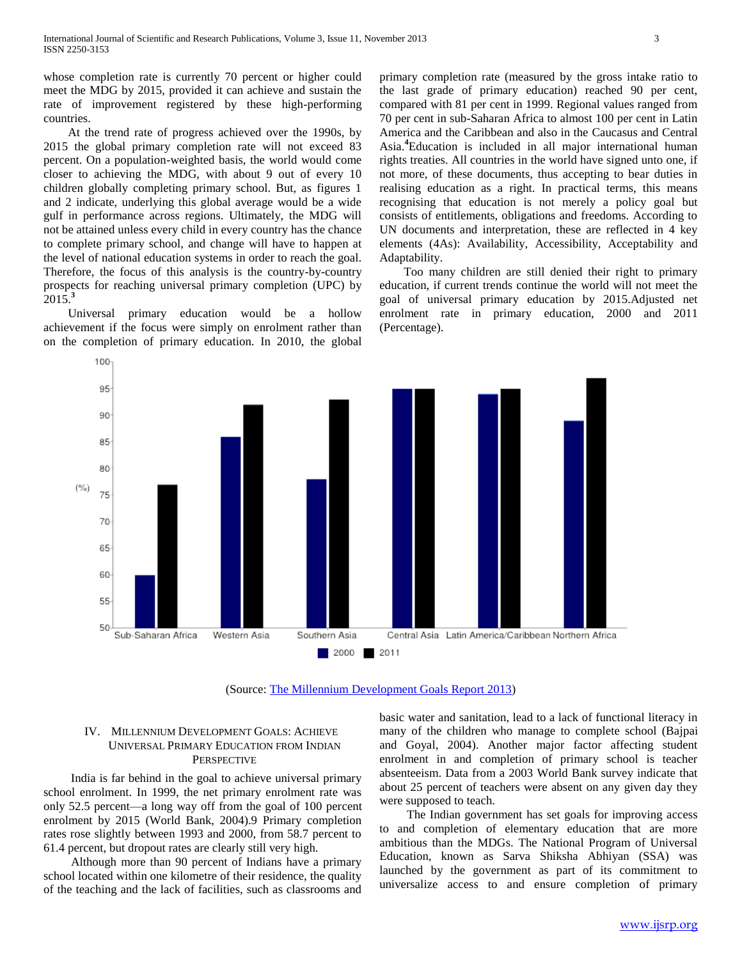whose completion rate is currently 70 percent or higher could meet the MDG by 2015, provided it can achieve and sustain the rate of improvement registered by these high-performing countries.

 At the trend rate of progress achieved over the 1990s, by 2015 the global primary completion rate will not exceed 83 percent. On a population-weighted basis, the world would come closer to achieving the MDG, with about 9 out of every 10 children globally completing primary school. But, as figures 1 and 2 indicate, underlying this global average would be a wide gulf in performance across regions. Ultimately, the MDG will not be attained unless every child in every country has the chance to complete primary school, and change will have to happen at the level of national education systems in order to reach the goal. Therefore, the focus of this analysis is the country-by-country prospects for reaching universal primary completion (UPC) by 2015.**<sup>3</sup>**

 Universal primary education would be a hollow achievement if the focus were simply on enrolment rather than on the completion of primary education. In 2010, the global primary completion rate (measured by the gross intake ratio to the last grade of primary education) reached 90 per cent, compared with 81 per cent in 1999. Regional values ranged from 70 per cent in sub-Saharan Africa to almost 100 per cent in Latin America and the Caribbean and also in the Caucasus and Central Asia.**<sup>4</sup>**Education is included in all major international human rights treaties. All countries in the world have signed unto one, if not more, of these documents, thus accepting to bear duties in realising education as a right. In practical terms, this means recognising that education is not merely a policy goal but consists of entitlements, obligations and freedoms. According to UN documents and interpretation, these are reflected in 4 key elements (4As): Availability, Accessibility, Acceptability and Adaptability.

 Too many children are still denied their right to primary education, if current trends continue the world will not meet the goal of universal primary education by 2015.Adjusted net enrolment rate in primary education, 2000 and 2011 (Percentage).



(Source: [The Millennium Development Goals Report 2013\)](http://www.undp.org/content/undp/en/home/librarypage/mdg/the-millennium-development-goals-report-2013.html)

# IV. MILLENNIUM DEVELOPMENT GOALS: ACHIEVE UNIVERSAL PRIMARY EDUCATION FROM INDIAN **PERSPECTIVE**

 India is far behind in the goal to achieve universal primary school enrolment. In 1999, the net primary enrolment rate was only 52.5 percent—a long way off from the goal of 100 percent enrolment by 2015 (World Bank, 2004).9 Primary completion rates rose slightly between 1993 and 2000, from 58.7 percent to 61.4 percent, but dropout rates are clearly still very high.

 Although more than 90 percent of Indians have a primary school located within one kilometre of their residence, the quality of the teaching and the lack of facilities, such as classrooms and basic water and sanitation, lead to a lack of functional literacy in many of the children who manage to complete school (Bajpai and Goyal, 2004). Another major factor affecting student enrolment in and completion of primary school is teacher absenteeism. Data from a 2003 World Bank survey indicate that about 25 percent of teachers were absent on any given day they were supposed to teach.

 The Indian government has set goals for improving access to and completion of elementary education that are more ambitious than the MDGs. The National Program of Universal Education, known as Sarva Shiksha Abhiyan (SSA) was launched by the government as part of its commitment to universalize access to and ensure completion of primary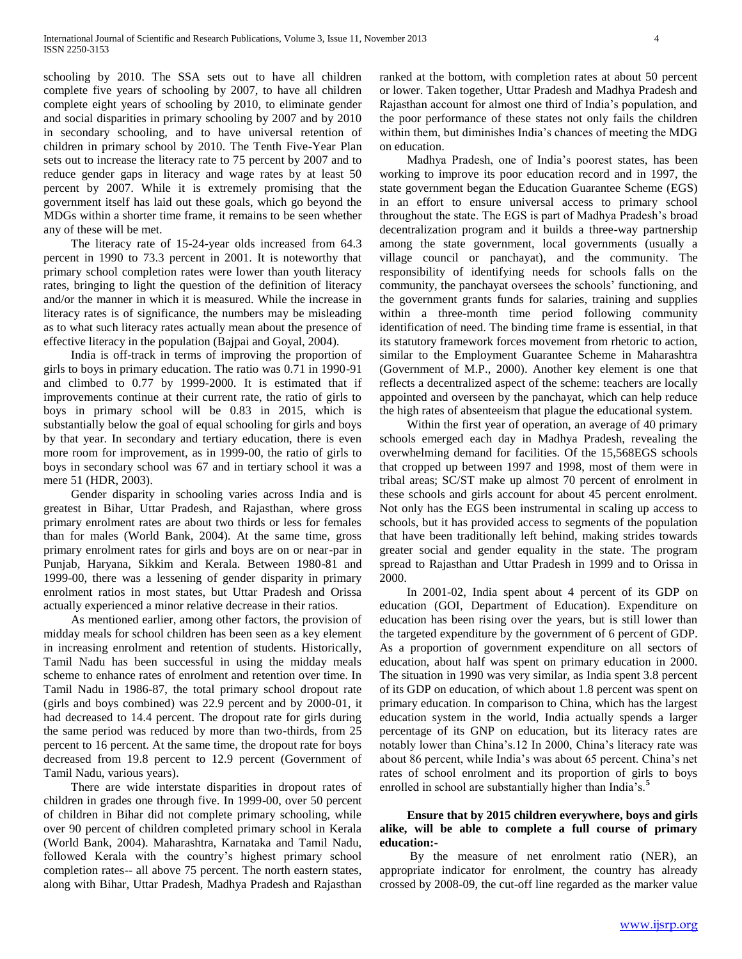schooling by 2010. The SSA sets out to have all children complete five years of schooling by 2007, to have all children complete eight years of schooling by 2010, to eliminate gender and social disparities in primary schooling by 2007 and by 2010 in secondary schooling, and to have universal retention of children in primary school by 2010. The Tenth Five-Year Plan sets out to increase the literacy rate to 75 percent by 2007 and to reduce gender gaps in literacy and wage rates by at least 50 percent by 2007. While it is extremely promising that the government itself has laid out these goals, which go beyond the MDGs within a shorter time frame, it remains to be seen whether any of these will be met.

 The literacy rate of 15-24-year olds increased from 64.3 percent in 1990 to 73.3 percent in 2001. It is noteworthy that primary school completion rates were lower than youth literacy rates, bringing to light the question of the definition of literacy and/or the manner in which it is measured. While the increase in literacy rates is of significance, the numbers may be misleading as to what such literacy rates actually mean about the presence of effective literacy in the population (Bajpai and Goyal, 2004).

 India is off-track in terms of improving the proportion of girls to boys in primary education. The ratio was 0.71 in 1990-91 and climbed to 0.77 by 1999-2000. It is estimated that if improvements continue at their current rate, the ratio of girls to boys in primary school will be 0.83 in 2015, which is substantially below the goal of equal schooling for girls and boys by that year. In secondary and tertiary education, there is even more room for improvement, as in 1999-00, the ratio of girls to boys in secondary school was 67 and in tertiary school it was a mere 51 (HDR, 2003).

 Gender disparity in schooling varies across India and is greatest in Bihar, Uttar Pradesh, and Rajasthan, where gross primary enrolment rates are about two thirds or less for females than for males (World Bank, 2004). At the same time, gross primary enrolment rates for girls and boys are on or near-par in Punjab, Haryana, Sikkim and Kerala. Between 1980-81 and 1999-00, there was a lessening of gender disparity in primary enrolment ratios in most states, but Uttar Pradesh and Orissa actually experienced a minor relative decrease in their ratios.

 As mentioned earlier, among other factors, the provision of midday meals for school children has been seen as a key element in increasing enrolment and retention of students. Historically, Tamil Nadu has been successful in using the midday meals scheme to enhance rates of enrolment and retention over time. In Tamil Nadu in 1986-87, the total primary school dropout rate (girls and boys combined) was 22.9 percent and by 2000-01, it had decreased to 14.4 percent. The dropout rate for girls during the same period was reduced by more than two-thirds, from 25 percent to 16 percent. At the same time, the dropout rate for boys decreased from 19.8 percent to 12.9 percent (Government of Tamil Nadu, various years).

 There are wide interstate disparities in dropout rates of children in grades one through five. In 1999-00, over 50 percent of children in Bihar did not complete primary schooling, while over 90 percent of children completed primary school in Kerala (World Bank, 2004). Maharashtra, Karnataka and Tamil Nadu, followed Kerala with the country's highest primary school completion rates-- all above 75 percent. The north eastern states, along with Bihar, Uttar Pradesh, Madhya Pradesh and Rajasthan

ranked at the bottom, with completion rates at about 50 percent or lower. Taken together, Uttar Pradesh and Madhya Pradesh and Rajasthan account for almost one third of India's population, and the poor performance of these states not only fails the children within them, but diminishes India's chances of meeting the MDG on education.

 Madhya Pradesh, one of India's poorest states, has been working to improve its poor education record and in 1997, the state government began the Education Guarantee Scheme (EGS) in an effort to ensure universal access to primary school throughout the state. The EGS is part of Madhya Pradesh's broad decentralization program and it builds a three-way partnership among the state government, local governments (usually a village council or panchayat), and the community. The responsibility of identifying needs for schools falls on the community, the panchayat oversees the schools' functioning, and the government grants funds for salaries, training and supplies within a three-month time period following community identification of need. The binding time frame is essential, in that its statutory framework forces movement from rhetoric to action, similar to the Employment Guarantee Scheme in Maharashtra (Government of M.P., 2000). Another key element is one that reflects a decentralized aspect of the scheme: teachers are locally appointed and overseen by the panchayat, which can help reduce the high rates of absenteeism that plague the educational system.

 Within the first year of operation, an average of 40 primary schools emerged each day in Madhya Pradesh, revealing the overwhelming demand for facilities. Of the 15,568EGS schools that cropped up between 1997 and 1998, most of them were in tribal areas; SC/ST make up almost 70 percent of enrolment in these schools and girls account for about 45 percent enrolment. Not only has the EGS been instrumental in scaling up access to schools, but it has provided access to segments of the population that have been traditionally left behind, making strides towards greater social and gender equality in the state. The program spread to Rajasthan and Uttar Pradesh in 1999 and to Orissa in 2000.

 In 2001-02, India spent about 4 percent of its GDP on education (GOI, Department of Education). Expenditure on education has been rising over the years, but is still lower than the targeted expenditure by the government of 6 percent of GDP. As a proportion of government expenditure on all sectors of education, about half was spent on primary education in 2000. The situation in 1990 was very similar, as India spent 3.8 percent of its GDP on education, of which about 1.8 percent was spent on primary education. In comparison to China, which has the largest education system in the world, India actually spends a larger percentage of its GNP on education, but its literacy rates are notably lower than China's.12 In 2000, China's literacy rate was about 86 percent, while India's was about 65 percent. China's net rates of school enrolment and its proportion of girls to boys enrolled in school are substantially higher than India's.**<sup>5</sup>**

# **Ensure that by 2015 children everywhere, boys and girls alike, will be able to complete a full course of primary education:-**

 By the measure of net enrolment ratio (NER), an appropriate indicator for enrolment, the country has already crossed by 2008-09, the cut-off line regarded as the marker value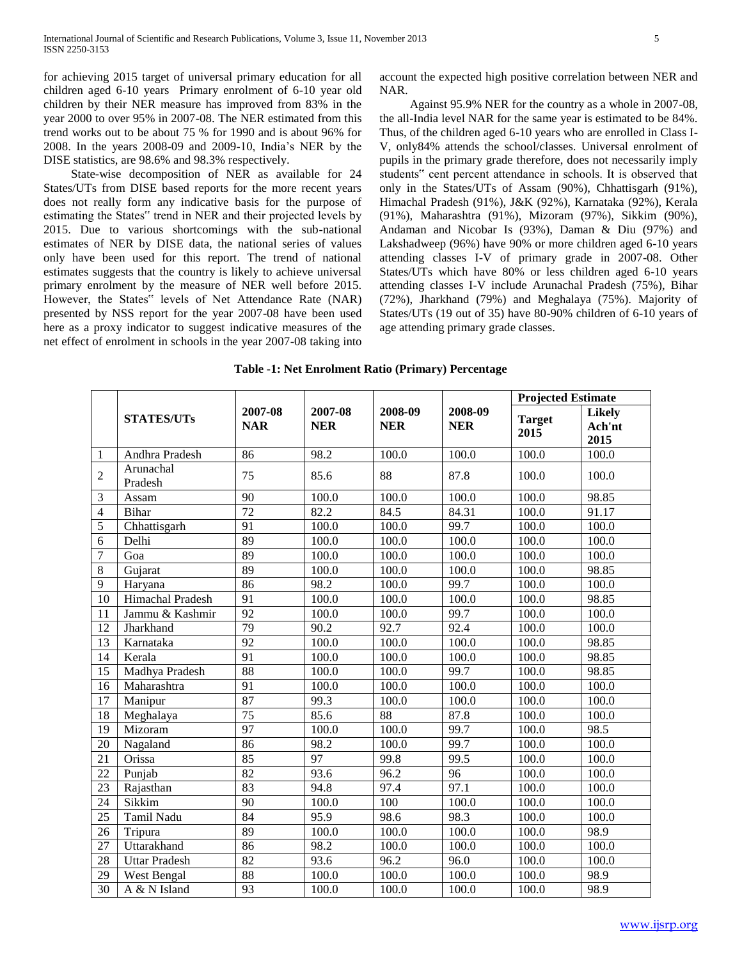for achieving 2015 target of universal primary education for all children aged 6-10 years Primary enrolment of 6-10 year old children by their NER measure has improved from 83% in the year 2000 to over 95% in 2007-08. The NER estimated from this trend works out to be about 75 % for 1990 and is about 96% for 2008. In the years 2008-09 and 2009-10, India's NER by the DISE statistics, are 98.6% and 98.3% respectively.

 State-wise decomposition of NER as available for 24 States/UTs from DISE based reports for the more recent years does not really form any indicative basis for the purpose of estimating the States" trend in NER and their projected levels by 2015. Due to various shortcomings with the sub-national estimates of NER by DISE data, the national series of values only have been used for this report. The trend of national estimates suggests that the country is likely to achieve universal primary enrolment by the measure of NER well before 2015. However, the States" levels of Net Attendance Rate (NAR) presented by NSS report for the year 2007-08 have been used here as a proxy indicator to suggest indicative measures of the net effect of enrolment in schools in the year 2007-08 taking into

account the expected high positive correlation between NER and NAR.

 Against 95.9% NER for the country as a whole in 2007-08, the all-India level NAR for the same year is estimated to be 84%. Thus, of the children aged 6-10 years who are enrolled in Class I-V, only84% attends the school/classes. Universal enrolment of pupils in the primary grade therefore, does not necessarily imply students" cent percent attendance in schools. It is observed that only in the States/UTs of Assam (90%), Chhattisgarh (91%), Himachal Pradesh (91%), J&K (92%), Karnataka (92%), Kerala (91%), Maharashtra (91%), Mizoram (97%), Sikkim (90%), Andaman and Nicobar Is (93%), Daman & Diu (97%) and Lakshadweep (96%) have 90% or more children aged 6-10 years attending classes I-V of primary grade in 2007-08. Other States/UTs which have 80% or less children aged 6-10 years attending classes I-V include Arunachal Pradesh (75%), Bihar (72%), Jharkhand (79%) and Meghalaya (75%). Majority of States/UTs (19 out of 35) have 80-90% children of 6-10 years of age attending primary grade classes.

|                         |                      |                       |                       |                       |                       | <b>Projected Estimate</b> |                                 |  |
|-------------------------|----------------------|-----------------------|-----------------------|-----------------------|-----------------------|---------------------------|---------------------------------|--|
|                         | <b>STATES/UTs</b>    | 2007-08<br><b>NAR</b> | 2007-08<br><b>NER</b> | 2008-09<br><b>NER</b> | 2008-09<br><b>NER</b> | <b>Target</b><br>2015     | <b>Likely</b><br>Ach'nt<br>2015 |  |
| $\,1\,$                 | Andhra Pradesh       | 86                    | 98.2                  | 100.0                 | 100.0                 | 100.0                     | 100.0                           |  |
| $\overline{2}$          | Arunachal<br>Pradesh | 75                    | 85.6                  | 88                    | 87.8                  | 100.0                     | 100.0                           |  |
| $\overline{\mathbf{3}}$ | Assam                | 90                    | 100.0                 | 100.0                 | 100.0                 | 100.0                     | 98.85                           |  |
| $\overline{4}$          | <b>Bihar</b>         | 72                    | 82.2                  | 84.5                  | 84.31                 | 100.0                     | 91.17                           |  |
| $\overline{5}$          | Chhattisgarh         | 91                    | 100.0                 | 100.0                 | 99.7                  | 100.0                     | 100.0                           |  |
| $\overline{6}$          | Delhi                | 89                    | 100.0                 | 100.0                 | 100.0                 | 100.0                     | 100.0                           |  |
| $\overline{7}$          | Goa                  | 89                    | 100.0                 | 100.0                 | 100.0                 | 100.0                     | 100.0                           |  |
| $\overline{8}$          | Gujarat              | 89                    | 100.0                 | 100.0                 | 100.0                 | 100.0                     | 98.85                           |  |
| $\mathbf{9}$            | Haryana              | 86                    | 98.2                  | 100.0                 | 99.7                  | 100.0                     | 100.0                           |  |
| $\overline{10}$         | Himachal Pradesh     | 91                    | 100.0                 | 100.0                 | 100.0                 | 100.0                     | 98.85                           |  |
| 11                      | Jammu & Kashmir      | 92                    | 100.0                 | 100.0                 | 99.7                  | 100.0                     | 100.0                           |  |
| 12                      | Jharkhand            | 79                    | 90.2                  | 92.7                  | 92.4                  | 100.0                     | 100.0                           |  |
| 13                      | Karnataka            | 92                    | 100.0                 | 100.0                 | 100.0                 | 100.0                     | 98.85                           |  |
| 14                      | Kerala               | 91                    | 100.0                 | 100.0                 | 100.0                 | 100.0                     | 98.85                           |  |
| 15                      | Madhya Pradesh       | 88                    | 100.0                 | 100.0                 | 99.7                  | 100.0                     | 98.85                           |  |
| 16                      | Maharashtra          | $\overline{91}$       | 100.0                 | 100.0                 | 100.0                 | 100.0                     | 100.0                           |  |
| 17                      | Manipur              | 87                    | 99.3                  | 100.0                 | 100.0                 | 100.0                     | 100.0                           |  |
| 18                      | Meghalaya            | $\overline{75}$       | 85.6                  | $\overline{88}$       | 87.8                  | 100.0                     | 100.0                           |  |
| 19                      | Mizoram              | 97                    | 100.0                 | 100.0                 | 99.7                  | 100.0                     | 98.5                            |  |
| $\overline{20}$         | Nagaland             | 86                    | 98.2                  | 100.0                 | 99.7                  | 100.0                     | 100.0                           |  |
| 21                      | Orissa               | 85                    | 97                    | 99.8                  | 99.5                  | 100.0                     | 100.0                           |  |
| $\overline{22}$         | Punjab               | 82                    | 93.6                  | 96.2                  | $\overline{96}$       | 100.0                     | 100.0                           |  |
| $\overline{23}$         | Rajasthan            | $\overline{83}$       | 94.8                  | 97.4                  | 97.1                  | 100.0                     | 100.0                           |  |
| 24                      | Sikkim               | $\overline{90}$       | 100.0                 | 100                   | 100.0                 | 100.0                     | 100.0                           |  |
| $\overline{25}$         | Tamil Nadu           | 84                    | 95.9                  | 98.6                  | 98.3                  | 100.0                     | 100.0                           |  |
| $\overline{26}$         | Tripura              | 89                    | 100.0                 | 100.0                 | 100.0                 | 100.0                     | 98.9                            |  |
| $\overline{27}$         | Uttarakhand          | 86                    | 98.2                  | 100.0                 | 100.0                 | 100.0                     | 100.0                           |  |
| $\overline{28}$         | <b>Uttar Pradesh</b> | 82                    | 93.6                  | 96.2                  | 96.0                  | 100.0                     | 100.0                           |  |
| $\overline{29}$         | West Bengal          | 88                    | 100.0                 | 100.0                 | 100.0                 | 100.0                     | 98.9                            |  |

30 A & N Island 93 100.0 100.0 100.0 100.0 98.9

**Table -1: Net Enrolment Ratio (Primary) Percentage**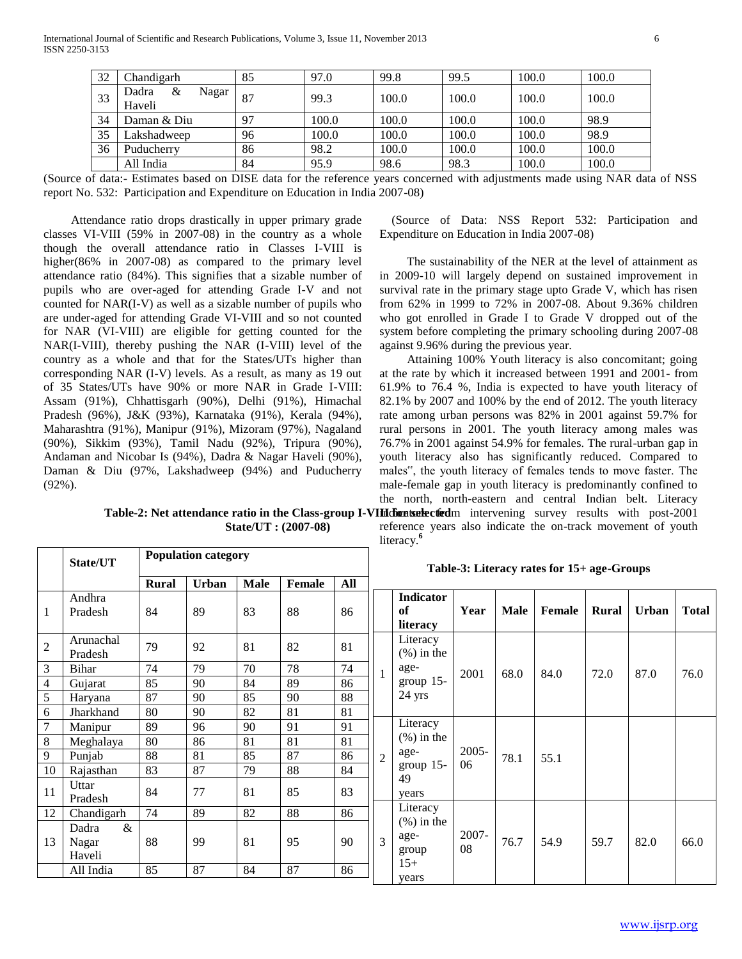| 32 | Chandigarh          | 85 | 97.0  | 99.8  | 99.5  | 100.0 | 100.0 |
|----|---------------------|----|-------|-------|-------|-------|-------|
| 33 | &<br>Nagar<br>Dadra | 87 | 99.3  | 100.0 | 100.0 | 100.0 | 100.0 |
|    | Haveli              |    |       |       |       |       |       |
| 34 | Daman & Diu         | 97 | 100.0 | 100.0 | 100.0 | 100.0 | 98.9  |
| 35 | Lakshadweep         | 96 | 100.0 | 100.0 | 100.0 | 100.0 | 98.9  |
| 36 | Puducherry          | 86 | 98.2  | 100.0 | 100.0 | 100.0 | 100.0 |
|    | All India           | 84 | 95.9  | 98.6  | 98.3  | 100.0 | 100.0 |

(Source of data:- Estimates based on DISE data for the reference years concerned with adjustments made using NAR data of NSS report No. 532: Participation and Expenditure on Education in India 2007-08)

 Attendance ratio drops drastically in upper primary grade classes VI-VIII (59% in 2007-08) in the country as a whole though the overall attendance ratio in Classes I-VIII is higher(86% in 2007-08) as compared to the primary level attendance ratio (84%). This signifies that a sizable number of pupils who are over-aged for attending Grade I-V and not counted for NAR(I-V) as well as a sizable number of pupils who are under-aged for attending Grade VI-VIII and so not counted for NAR (VI-VIII) are eligible for getting counted for the NAR(I-VIII), thereby pushing the NAR (I-VIII) level of the country as a whole and that for the States/UTs higher than corresponding NAR (I-V) levels. As a result, as many as 19 out of 35 States/UTs have 90% or more NAR in Grade I-VIII: Assam (91%), Chhattisgarh (90%), Delhi (91%), Himachal Pradesh (96%), J&K (93%), Karnataka (91%), Kerala (94%), Maharashtra (91%), Manipur (91%), Mizoram (97%), Nagaland (90%), Sikkim (93%), Tamil Nadu (92%), Tripura (90%), Andaman and Nicobar Is (94%), Dadra & Nagar Haveli (90%), Daman & Diu (97%, Lakshadweep (94%) and Puducherry (92%).

**Population category** 

 (Source of Data: NSS Report 532: Participation and Expenditure on Education in India 2007-08)

 The sustainability of the NER at the level of attainment as in 2009-10 will largely depend on sustained improvement in survival rate in the primary stage upto Grade V, which has risen from 62% in 1999 to 72% in 2007-08. About 9.36% children who got enrolled in Grade I to Grade V dropped out of the system before completing the primary schooling during 2007-08 against 9.96% during the previous year.

Table-2: Net attendance ratio in the Class-group I-VIIIdionts at extendent intervening survey results with post-2001 Attaining 100% Youth literacy is also concomitant; going at the rate by which it increased between 1991 and 2001- from 61.9% to 76.4 %, India is expected to have youth literacy of 82.1% by 2007 and 100% by the end of 2012. The youth literacy rate among urban persons was 82% in 2001 against 59.7% for rural persons in 2001. The youth literacy among males was 76.7% in 2001 against 54.9% for females. The rural-urban gap in youth literacy also has significantly reduced. Compared to males", the youth literacy of females tends to move faster. The male-female gap in youth literacy is predominantly confined to the north, north-eastern and central Indian belt. Literacy

**State/UT : (2007-08)**

reference years also indicate the on-track movement of youth literacy.**<sup>6</sup>**

|                | State/UT                         |              |       |             |               |     | Table-3: Literacy rates for 15+ age-Groups |                                          |             |      |        |       |              |       |
|----------------|----------------------------------|--------------|-------|-------------|---------------|-----|--------------------------------------------|------------------------------------------|-------------|------|--------|-------|--------------|-------|
|                |                                  | <b>Rural</b> | Urban | <b>Male</b> | <b>Female</b> | All |                                            |                                          |             |      |        |       |              |       |
| 1              | Andhra<br>Pradesh                | 84           | 89    | 83          | 88            | 86  |                                            | <b>Indicator</b><br>of<br>literacy       | Year        | Male | Female | Rural | <b>Urban</b> | Total |
| $\overline{2}$ | Arunachal<br>Pradesh             | 79           | 92    | 81          | 82            | 81  |                                            | Literacy<br>$(\% )$ in the               |             |      |        |       |              |       |
| 3              | Bihar                            | 74           | 79    | 70          | 78            | 74  |                                            | age-                                     | 2001        | 68.0 | 84.0   | 72.0  | 87.0         | 76.0  |
| 4              | Gujarat                          | 85           | 90    | 84          | 89            | 86  |                                            | group $15-$                              |             |      |        |       |              |       |
| 5              | Haryana                          | 87           | 90    | 85          | 90            | 88  |                                            | 24 yrs                                   |             |      |        |       |              |       |
| 6              | Jharkhand                        | 80           | 90    | 82          | 81            | 81  |                                            |                                          |             |      |        |       |              |       |
| $\tau$         | Manipur                          | 89           | 96    | 90          | 91            | 91  |                                            | Literacy                                 |             |      | 55.1   |       |              |       |
| $\,8\,$        | Meghalaya                        | 80           | 86    | 81          | 81            | 81  |                                            | $(\% )$ in the                           |             |      |        |       |              |       |
| 9              | Punjab                           | 88           | 81    | 85          | 87            | 86  | $\overline{c}$                             | age-                                     | $2005 -$    | 78.1 |        |       |              |       |
| 10             | Rajasthan                        | 83           | 87    | 79          | 88            | 84  |                                            | group $15-$<br>49                        | 06          |      |        |       |              |       |
| 11             | Uttar<br>Pradesh                 | 84           | 77    | 81          | 85            | 83  |                                            | years                                    |             |      |        |       |              |       |
| 12             | Chandigarh                       | 74           | 89    | 82          | 88            | 86  |                                            | Literacy                                 |             |      |        |       |              |       |
| 13             | $\&$<br>Dadra<br>Nagar<br>Haveli | 88           | 99    | 81          | 95            | 90  | 3                                          | $(\% )$ in the<br>age-<br>group<br>$15+$ | 2007-<br>08 | 76.7 | 54.9   | 59.7  | 82.0         | 66.0  |
|                | All India                        | 85           | 87    | 84          | 87            | 86  |                                            | years                                    |             |      |        |       |              |       |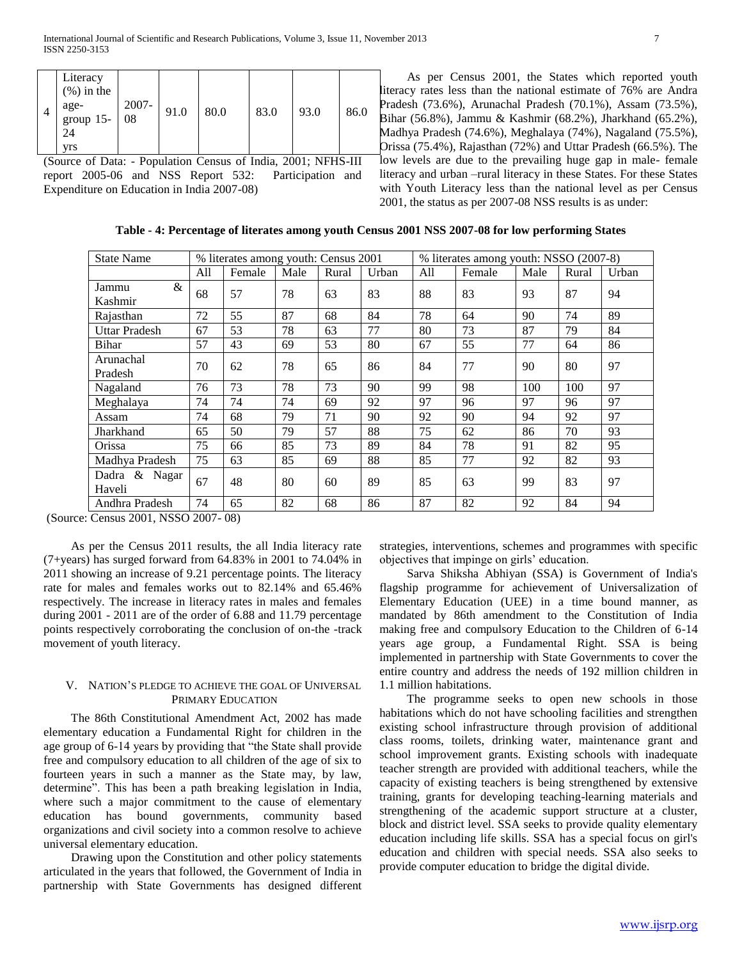|  | Literacy<br>$(\% )$ in the<br>age-<br>group $15-$<br>24<br>yrs | 2007-<br>08 | 91.0 | 80.0 | 83.0 | 93.0 | 86.0 |
|--|----------------------------------------------------------------|-------------|------|------|------|------|------|
|--|----------------------------------------------------------------|-------------|------|------|------|------|------|

(Source of Data: - Population Census of India, 2001; NFHS-III report 2005-06 and NSS Report 532: Participation and Expenditure on Education in India 2007-08)

 As per Census 2001, the States which reported youth literacy rates less than the national estimate of 76% are Andra Pradesh (73.6%), Arunachal Pradesh (70.1%), Assam (73.5%), Bihar (56.8%), Jammu & Kashmir (68.2%), Jharkhand (65.2%), Madhya Pradesh (74.6%), Meghalaya (74%), Nagaland (75.5%), Orissa (75.4%), Rajasthan (72%) and Uttar Pradesh (66.5%). The low levels are due to the prevailing huge gap in male- female literacy and urban –rural literacy in these States. For these States with Youth Literacy less than the national level as per Census 2001, the status as per 2007-08 NSS results is as under:

**Table - 4: Percentage of literates among youth Census 2001 NSS 2007-08 for low performing States**

| <b>State Name</b>       |     | % literates among youth: Census 2001 |      |       |       | % literates among youth: NSSO (2007-8) |        |      |       |       |  |  |
|-------------------------|-----|--------------------------------------|------|-------|-------|----------------------------------------|--------|------|-------|-------|--|--|
|                         | All | Female                               | Male | Rural | Urban | All                                    | Female | Male | Rural | Urban |  |  |
| &<br>Jammu<br>Kashmir   | 68  | 57                                   | 78   | 63    | 83    | 88                                     | 83     | 93   | 87    | 94    |  |  |
| Rajasthan               | 72  | 55                                   | 87   | 68    | 84    | 78                                     | 64     | 90   | 74    | 89    |  |  |
| <b>Uttar Pradesh</b>    | 67  | 53                                   | 78   | 63    | 77    | 80                                     | 73     | 87   | 79    | 84    |  |  |
| Bihar                   | 57  | 43                                   | 69   | 53    | 80    | 67                                     | 55     | 77   | 64    | 86    |  |  |
| Arunachal<br>Pradesh    | 70  | 62                                   | 78   | 65    | 86    | 84                                     | 77     | 90   | 80    | 97    |  |  |
| Nagaland                | 76  | 73                                   | 78   | 73    | 90    | 99                                     | 98     | 100  | 100   | 97    |  |  |
| Meghalaya               | 74  | 74                                   | 74   | 69    | 92    | 97                                     | 96     | 97   | 96    | 97    |  |  |
| Assam                   | 74  | 68                                   | 79   | 71    | 90    | 92                                     | 90     | 94   | 92    | 97    |  |  |
| Jharkhand               | 65  | 50                                   | 79   | 57    | 88    | 75                                     | 62     | 86   | 70    | 93    |  |  |
| Orissa                  | 75  | 66                                   | 85   | 73    | 89    | 84                                     | 78     | 91   | 82    | 95    |  |  |
| Madhya Pradesh          | 75  | 63                                   | 85   | 69    | 88    | 85                                     | 77     | 92   | 82    | 93    |  |  |
| Dadra & Nagar<br>Haveli | 67  | 48                                   | 80   | 60    | 89    | 85                                     | 63     | 99   | 83    | 97    |  |  |
| Andhra Pradesh          | 74  | 65                                   | 82   | 68    | 86    | 87                                     | 82     | 92   | 84    | 94    |  |  |

(Source: Census 2001, NSSO 2007- 08)

 As per the Census 2011 results, the all India literacy rate (7+years) has surged forward from 64.83% in 2001 to 74.04% in 2011 showing an increase of 9.21 percentage points. The literacy rate for males and females works out to 82.14% and 65.46% respectively. The increase in literacy rates in males and females during 2001 - 2011 are of the order of 6.88 and 11.79 percentage points respectively corroborating the conclusion of on-the -track movement of youth literacy.

### V. NATION'S PLEDGE TO ACHIEVE THE GOAL OF UNIVERSAL PRIMARY EDUCATION

 The 86th Constitutional Amendment Act, 2002 has made elementary education a Fundamental Right for children in the age group of 6-14 years by providing that "the State shall provide free and compulsory education to all children of the age of six to fourteen years in such a manner as the State may, by law, determine". This has been a path breaking legislation in India, where such a major commitment to the cause of elementary education has bound governments, community based organizations and civil society into a common resolve to achieve universal elementary education.

 Drawing upon the Constitution and other policy statements articulated in the years that followed, the Government of India in partnership with State Governments has designed different

strategies, interventions, schemes and programmes with specific objectives that impinge on girls' education.

 Sarva Shiksha Abhiyan (SSA) is Government of India's flagship programme for achievement of Universalization of Elementary Education (UEE) in a time bound manner, as mandated by 86th amendment to the Constitution of India making free and compulsory Education to the Children of 6-14 years age group, a Fundamental Right. SSA is being implemented in partnership with State Governments to cover the entire country and address the needs of 192 million children in 1.1 million habitations.

 The programme seeks to open new schools in those habitations which do not have schooling facilities and strengthen existing school infrastructure through provision of additional class rooms, toilets, drinking water, maintenance grant and school improvement grants. Existing schools with inadequate teacher strength are provided with additional teachers, while the capacity of existing teachers is being strengthened by extensive training, grants for developing teaching-learning materials and strengthening of the academic support structure at a cluster, block and district level. SSA seeks to provide quality elementary education including life skills. SSA has a special focus on girl's education and children with special needs. SSA also seeks to provide computer education to bridge the digital divide.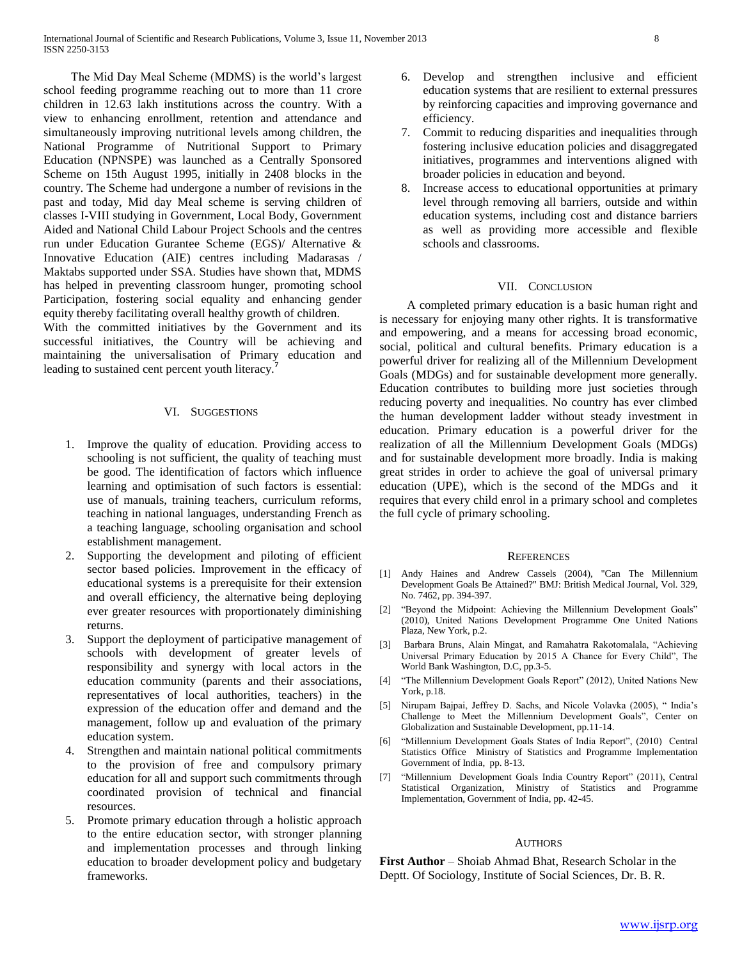The Mid Day Meal Scheme (MDMS) is the world's largest school feeding programme reaching out to more than 11 crore children in 12.63 lakh institutions across the country. With a view to enhancing enrollment, retention and attendance and simultaneously improving nutritional levels among children, the National Programme of Nutritional Support to Primary Education (NPNSPE) was launched as a Centrally Sponsored Scheme on 15th August 1995, initially in 2408 blocks in the country. The Scheme had undergone a number of revisions in the past and today, Mid day Meal scheme is serving children of classes I-VIII studying in Government, Local Body, Government Aided and National Child Labour Project Schools and the centres run under Education Gurantee Scheme (EGS)/ Alternative & Innovative Education (AIE) centres including Madarasas / Maktabs supported under SSA. Studies have shown that, MDMS has helped in preventing classroom hunger, promoting school Participation, fostering social equality and enhancing gender equity thereby facilitating overall healthy growth of children.

With the committed initiatives by the Government and its successful initiatives, the Country will be achieving and maintaining the universalisation of Primary education and leading to sustained cent percent youth literacy.**<sup>7</sup>**

#### VI. SUGGESTIONS

- 1. Improve the quality of education. Providing access to schooling is not sufficient, the quality of teaching must be good. The identification of factors which influence learning and optimisation of such factors is essential: use of manuals, training teachers, curriculum reforms, teaching in national languages, understanding French as a teaching language, schooling organisation and school establishment management.
- Supporting the development and piloting of efficient sector based policies. Improvement in the efficacy of educational systems is a prerequisite for their extension and overall efficiency, the alternative being deploying ever greater resources with proportionately diminishing returns.
- 3. Support the deployment of participative management of schools with development of greater levels of responsibility and synergy with local actors in the education community (parents and their associations, representatives of local authorities, teachers) in the expression of the education offer and demand and the management, follow up and evaluation of the primary education system.
- Strengthen and maintain national political commitments to the provision of free and compulsory primary education for all and support such commitments through coordinated provision of technical and financial resources.
- 5. Promote primary education through a holistic approach to the entire education sector, with stronger planning and implementation processes and through linking education to broader development policy and budgetary frameworks.
- 6. Develop and strengthen inclusive and efficient education systems that are resilient to external pressures by reinforcing capacities and improving governance and efficiency.
- 7. Commit to reducing disparities and inequalities through fostering inclusive education policies and disaggregated initiatives, programmes and interventions aligned with broader policies in education and beyond.
- 8. Increase access to educational opportunities at primary level through removing all barriers, outside and within education systems, including cost and distance barriers as well as providing more accessible and flexible schools and classrooms.

#### VII. CONCLUSION

 A completed primary education is a basic human right and is necessary for enjoying many other rights. It is transformative and empowering, and a means for accessing broad economic, social, political and cultural benefits. Primary education is a powerful driver for realizing all of the Millennium Development Goals (MDGs) and for sustainable development more generally. Education contributes to building more just societies through reducing poverty and inequalities. No country has ever climbed the human development ladder without steady investment in education. Primary education is a powerful driver for the realization of all the Millennium Development Goals (MDGs) and for sustainable development more broadly. India is making great strides in order to achieve the goal of universal primary education (UPE), which is the second of the MDGs and it requires that every child enrol in a primary school and completes the full cycle of primary schooling.

#### **REFERENCES**

- [1] Andy Haines and Andrew Cassels (2004), "Can The Millennium Development Goals Be Attained?" BMJ: British Medical Journal, Vol. 329, No. 7462, pp. 394-397.
- [2] "Beyond the Midpoint: Achieving the Millennium Development Goals" (2010), United Nations Development Programme One United Nations Plaza, New York, p.2.
- [3] Barbara Bruns, Alain Mingat, and Ramahatra Rakotomalala, "Achieving Universal Primary Education by 2015 A Chance for Every Child", The World Bank Washington, D.C, pp.3-5.
- [4] "The Millennium Development Goals Report" (2012), United Nations New York, p.18.
- [5] Nirupam Bajpai, Jeffrey D. Sachs, and Nicole Volavka (2005), " India's Challenge to Meet the Millennium Development Goals", Center on Globalization and Sustainable Development, pp.11-14.
- [6] "Millennium Development Goals States of India Report", (2010) Central Statistics Office Ministry of Statistics and Programme Implementation Government of India, pp. 8-13.
- [7] "Millennium Development Goals India Country Report" (2011), Central Statistical Organization, Ministry of Statistics and Programme Implementation, Government of India, pp. 42-45.

#### **AUTHORS**

**First Author** – Shoiab Ahmad Bhat, Research Scholar in the Deptt. Of Sociology, Institute of Social Sciences, Dr. B. R.